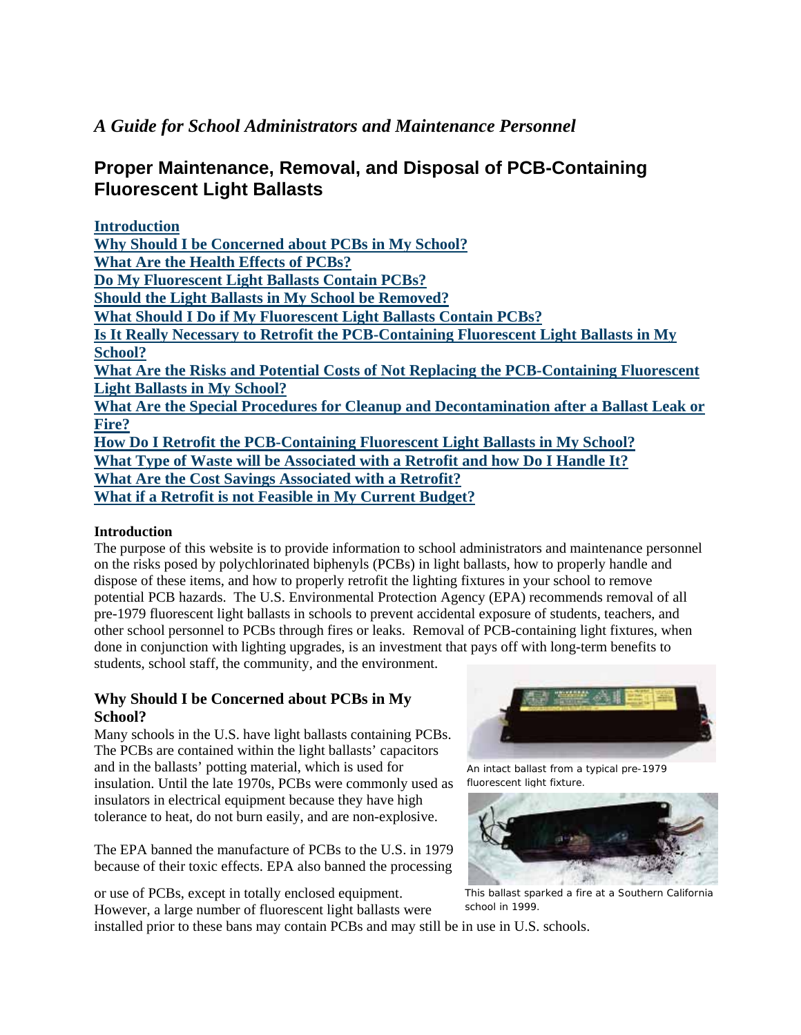## *A Guide for School Administrators and Maintenance Personnel*

# **Proper Maintenance, Removal, and Disposal of PCB-Containing Fluorescent Light Ballasts**

| <b>Introduction</b>                                                                     |
|-----------------------------------------------------------------------------------------|
| Why Should I be Concerned about PCBs in My School?                                      |
| <b>What Are the Health Effects of PCBs?</b>                                             |
| Do My Fluorescent Light Ballasts Contain PCBs?                                          |
| <b>Should the Light Ballasts in My School be Removed?</b>                               |
| <b>What Should I Do if My Fluorescent Light Ballasts Contain PCBs?</b>                  |
| Is It Really Necessary to Retrofit the PCB-Containing Fluorescent Light Ballasts in My  |
| <b>School?</b>                                                                          |
| What Are the Risks and Potential Costs of Not Replacing the PCB-Containing Fluorescent  |
| <b>Light Ballasts in My School?</b>                                                     |
| What Are the Special Procedures for Cleanup and Decontamination after a Ballast Leak or |
| Fire?                                                                                   |
| How Do I Retrofit the PCB-Containing Fluorescent Light Ballasts in My School?           |
| What Type of Waste will be Associated with a Retrofit and how Do I Handle It?           |
| What Are the Cost Savings Associated with a Retrofit?                                   |
| What if a Retrofit is not Feasible in My Current Budget?                                |
|                                                                                         |

#### **Introduction**

The purpose of this website is to provide information to school administrators and maintenance personnel on the risks posed by polychlorinated biphenyls (PCBs) in light ballasts, how to properly handle and dispose of these items, and how to properly retrofit the lighting fixtures in your school to remove potential PCB hazards. The U.S. Environmental Protection Agency (EPA) recommends removal of all pre-1979 fluorescent light ballasts in schools to prevent accidental exposure of students, teachers, and other school personnel to PCBs through fires or leaks. Removal of PCB-containing light fixtures, when done in conjunction with lighting upgrades, is an investment that pays off with long-term benefits to students, school staff, the community, and the environment.

#### **Why Should I be Concerned about PCBs in My School?**

Many schools in the U.S. have light ballasts containing PCBs. The PCBs are contained within the light ballasts' capacitors and in the ballasts' potting material, which is used for insulation. Until the late 1970s, PCBs were commonly used as insulators in electrical equipment because they have high tolerance to heat, do not burn easily, and are non-explosive.

The EPA banned the manufacture of PCBs to the U.S. in 1979 because of their toxic effects. EPA also banned the processing

or use of PCBs, except in totally enclosed equipment. However, a large number of fluorescent light ballasts were



An intact ballast from a typical pre-1979 fluorescent light fixture.



This ballast sparked a fire at a Southern California school in 1999.

installed prior to these bans may contain PCBs and may still be in use in U.S. schools.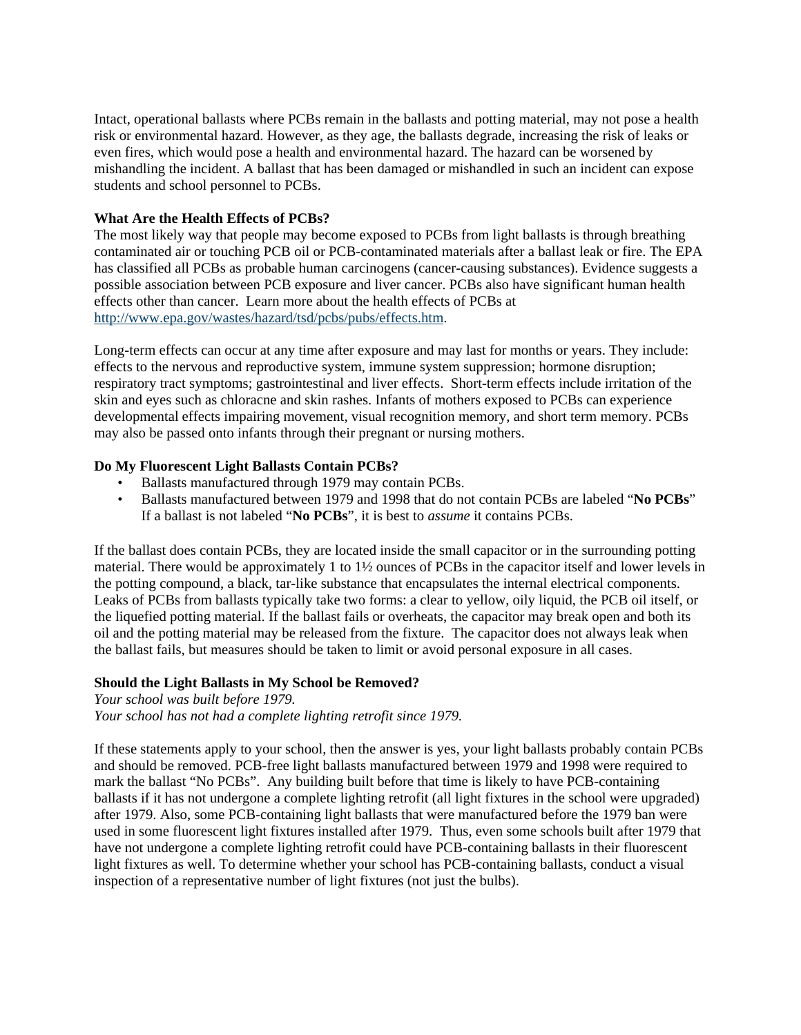Intact, operational ballasts where PCBs remain in the ballasts and potting material, may not pose a health risk or environmental hazard. However, as they age, the ballasts degrade, increasing the risk of leaks or even fires, which would pose a health and environmental hazard. The hazard can be worsened by mishandling the incident. A ballast that has been damaged or mishandled in such an incident can expose students and school personnel to PCBs.

#### **What Are the Health Effects of PCBs?**

The most likely way that people may become exposed to PCBs from light ballasts is through breathing contaminated air or touching PCB oil or PCB-contaminated materials after a ballast leak or fire. The EPA has classified all PCBs as probable human carcinogens (cancer-causing substances). Evidence suggests a possible association between PCB exposure and liver cancer. PCBs also have significant human health effects other than cancer. Learn more about the health effects of PCBs at http://www.epa.gov/wastes/hazard/tsd/pcbs/pubs/effects.htm.

Long-term effects can occur at any time after exposure and may last for months or years. They include: effects to the nervous and reproductive system, immune system suppression; hormone disruption; respiratory tract symptoms; gastrointestinal and liver effects. Short-term effects include irritation of the skin and eyes such as chloracne and skin rashes. Infants of mothers exposed to PCBs can experience developmental effects impairing movement, visual recognition memory, and short term memory. PCBs may also be passed onto infants through their pregnant or nursing mothers.

#### **Do My Fluorescent Light Ballasts Contain PCBs?**

- Ballasts manufactured through 1979 may contain PCBs.
- Ballasts manufactured between 1979 and 1998 that do not contain PCBs are labeled "**No PCBs**" If a ballast is not labeled "**No PCBs**", it is best to *assume* it contains PCBs.

If the ballast does contain PCBs, they are located inside the small capacitor or in the surrounding potting material. There would be approximately 1 to 1½ ounces of PCBs in the capacitor itself and lower levels in the potting compound, a black, tar-like substance that encapsulates the internal electrical components. Leaks of PCBs from ballasts typically take two forms: a clear to yellow, oily liquid, the PCB oil itself, or the liquefied potting material. If the ballast fails or overheats, the capacitor may break open and both its oil and the potting material may be released from the fixture. The capacitor does not always leak when the ballast fails, but measures should be taken to limit or avoid personal exposure in all cases.

#### **Should the Light Ballasts in My School be Removed?**

*Your school was built before 1979. Your school has not had a complete lighting retrofit since 1979.* 

If these statements apply to your school, then the answer is yes, your light ballasts probably contain PCBs and should be removed. PCB-free light ballasts manufactured between 1979 and 1998 were required to mark the ballast "No PCBs". Any building built before that time is likely to have PCB-containing ballasts if it has not undergone a complete lighting retrofit (all light fixtures in the school were upgraded) after 1979. Also, some PCB-containing light ballasts that were manufactured before the 1979 ban were used in some fluorescent light fixtures installed after 1979. Thus, even some schools built after 1979 that have not undergone a complete lighting retrofit could have PCB-containing ballasts in their fluorescent light fixtures as well. To determine whether your school has PCB-containing ballasts, conduct a visual inspection of a representative number of light fixtures (not just the bulbs).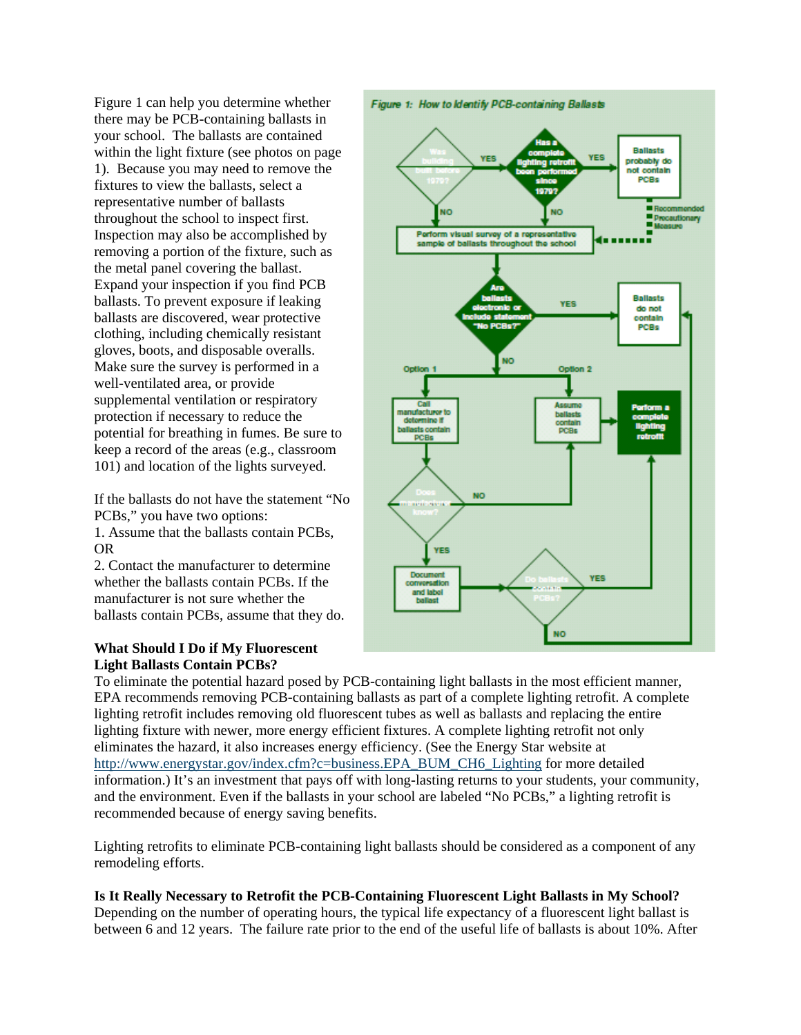Figure 1 can help you determine whether there may be PCB-containing ballasts in your school. The ballasts are contained within the light fixture (see photos on page 1). Because you may need to remove the fixtures to view the ballasts, select a representative number of ballasts throughout the school to inspect first. Inspection may also be accomplished by removing a portion of the fixture, such as the metal panel covering the ballast. Expand your inspection if you find PCB ballasts. To prevent exposure if leaking ballasts are discovered, wear protective clothing, including chemically resistant gloves, boots, and disposable overalls. Make sure the survey is performed in a well-ventilated area, or provide supplemental ventilation or respiratory protection if necessary to reduce the potential for breathing in fumes. Be sure to keep a record of the areas (e.g., classroom 101) and location of the lights surveyed.

If the ballasts do not have the statement "No PCBs," you have two options: 1. Assume that the ballasts contain PCBs, OR

2. Contact the manufacturer to determine whether the ballasts contain PCBs. If the manufacturer is not sure whether the ballasts contain PCBs, assume that they do.

#### **What Should I Do if My Fluorescent Light Ballasts Contain PCBs?**



To eliminate the potential hazard posed by PCB-containing light ballasts in the most efficient manner, EPA recommends removing PCB-containing ballasts as part of a complete lighting retrofit. A complete lighting retrofit includes removing old fluorescent tubes as well as ballasts and replacing the entire lighting fixture with newer, more energy efficient fixtures. A complete lighting retrofit not only eliminates the hazard, it also increases energy efficiency. (See the Energy Star website at http://www.energystar.gov/index.cfm?c=business.EPA\_BUM\_CH6\_Lighting for more detailed information.) It's an investment that pays off with long-lasting returns to your students, your community, and the environment. Even if the ballasts in your school are labeled "No PCBs," a lighting retrofit is recommended because of energy saving benefits.

Lighting retrofits to eliminate PCB-containing light ballasts should be considered as a component of any remodeling efforts.

## **Is It Really Necessary to Retrofit the PCB-Containing Fluorescent Light Ballasts in My School?**

Depending on the number of operating hours, the typical life expectancy of a fluorescent light ballast is between 6 and 12 years. The failure rate prior to the end of the useful life of ballasts is about 10%. After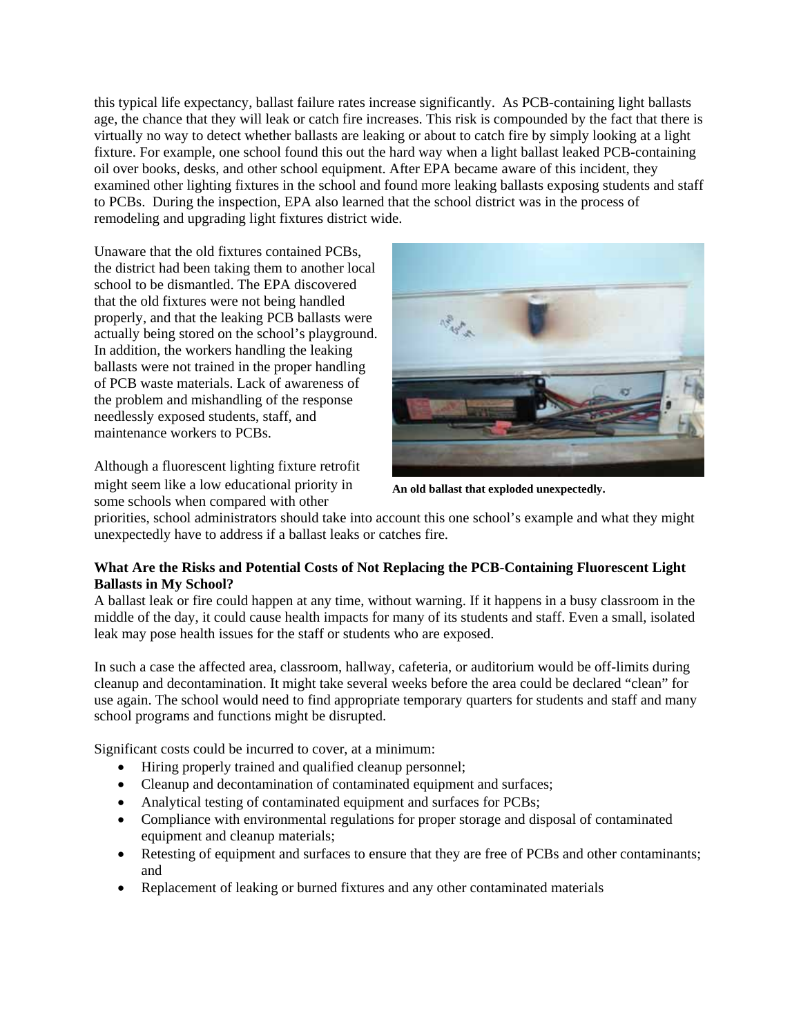this typical life expectancy, ballast failure rates increase significantly. As PCB-containing light ballasts age, the chance that they will leak or catch fire increases. This risk is compounded by the fact that there is virtually no way to detect whether ballasts are leaking or about to catch fire by simply looking at a light fixture. For example, one school found this out the hard way when a light ballast leaked PCB-containing oil over books, desks, and other school equipment. After EPA became aware of this incident, they examined other lighting fixtures in the school and found more leaking ballasts exposing students and staff to PCBs. During the inspection, EPA also learned that the school district was in the process of remodeling and upgrading light fixtures district wide.

Unaware that the old fixtures contained PCBs, the district had been taking them to another local school to be dismantled. The EPA discovered that the old fixtures were not being handled properly, and that the leaking PCB ballasts were actually being stored on the school's playground. In addition, the workers handling the leaking ballasts were not trained in the proper handling of PCB waste materials. Lack of awareness of the problem and mishandling of the response needlessly exposed students, staff, and maintenance workers to PCBs.

Although a fluorescent lighting fixture retrofit might seem like a low educational priority in some schools when compared with other



**An old ballast that exploded unexpectedly.** 

priorities, school administrators should take into account this one school's example and what they might unexpectedly have to address if a ballast leaks or catches fire.

## **What Are the Risks and Potential Costs of Not Replacing the PCB-Containing Fluorescent Light Ballasts in My School?**

A ballast leak or fire could happen at any time, without warning. If it happens in a busy classroom in the middle of the day, it could cause health impacts for many of its students and staff. Even a small, isolated leak may pose health issues for the staff or students who are exposed.

In such a case the affected area, classroom, hallway, cafeteria, or auditorium would be off-limits during cleanup and decontamination. It might take several weeks before the area could be declared "clean" for use again. The school would need to find appropriate temporary quarters for students and staff and many school programs and functions might be disrupted.

Significant costs could be incurred to cover, at a minimum:

- Hiring properly trained and qualified cleanup personnel;
- Cleanup and decontamination of contaminated equipment and surfaces;
- Analytical testing of contaminated equipment and surfaces for PCBs;
- Compliance with environmental regulations for proper storage and disposal of contaminated equipment and cleanup materials;
- Retesting of equipment and surfaces to ensure that they are free of PCBs and other contaminants; and
- Replacement of leaking or burned fixtures and any other contaminated materials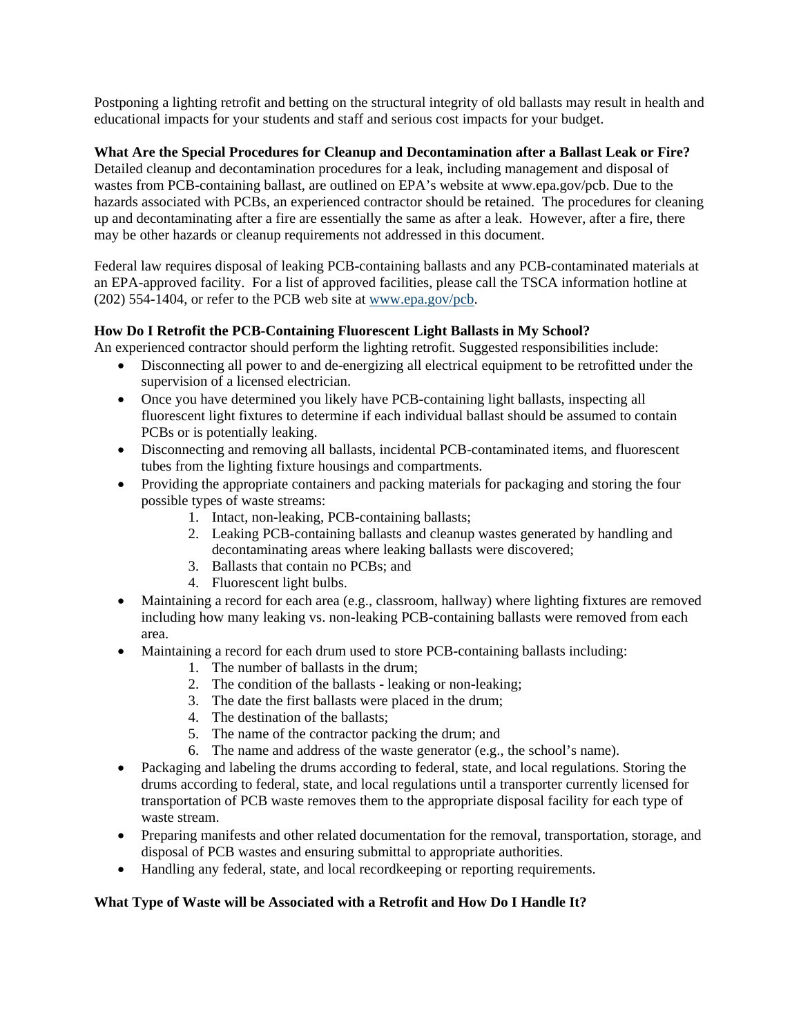Postponing a lighting retrofit and betting on the structural integrity of old ballasts may result in health and educational impacts for your students and staff and serious cost impacts for your budget.

**What Are the Special Procedures for Cleanup and Decontamination after a Ballast Leak or Fire?** Detailed cleanup and decontamination procedures for a leak, including management and disposal of wastes from PCB-containing ballast, are outlined on EPA's website at www.epa.gov/pcb. Due to the hazards associated with PCBs, an experienced contractor should be retained. The procedures for cleaning up and decontaminating after a fire are essentially the same as after a leak. However, after a fire, there may be other hazards or cleanup requirements not addressed in this document.

Federal law requires disposal of leaking PCB-containing ballasts and any PCB-contaminated materials at an EPA-approved facility. For a list of approved facilities, please call the TSCA information hotline at (202) 554-1404, or refer to the PCB web site at www.epa.gov/pcb.

## **How Do I Retrofit the PCB-Containing Fluorescent Light Ballasts in My School?**

An experienced contractor should perform the lighting retrofit. Suggested responsibilities include:

- Disconnecting all power to and de-energizing all electrical equipment to be retrofitted under the supervision of a licensed electrician.
- Once you have determined you likely have PCB-containing light ballasts, inspecting all fluorescent light fixtures to determine if each individual ballast should be assumed to contain PCBs or is potentially leaking.
- Disconnecting and removing all ballasts, incidental PCB-contaminated items, and fluorescent tubes from the lighting fixture housings and compartments.
- Providing the appropriate containers and packing materials for packaging and storing the four possible types of waste streams:
	- 1. Intact, non-leaking, PCB-containing ballasts;
	- 2. Leaking PCB-containing ballasts and cleanup wastes generated by handling and decontaminating areas where leaking ballasts were discovered;
	- 3. Ballasts that contain no PCBs; and
	- 4. Fluorescent light bulbs.
- Maintaining a record for each area (e.g., classroom, hallway) where lighting fixtures are removed including how many leaking vs. non-leaking PCB-containing ballasts were removed from each area.
- Maintaining a record for each drum used to store PCB-containing ballasts including:
	- 1. The number of ballasts in the drum;
	- 2. The condition of the ballasts leaking or non-leaking;
	- 3. The date the first ballasts were placed in the drum;
	- 4. The destination of the ballasts;
	- 5. The name of the contractor packing the drum; and
	- 6. The name and address of the waste generator (e.g., the school's name).
- Packaging and labeling the drums according to federal, state, and local regulations. Storing the drums according to federal, state, and local regulations until a transporter currently licensed for transportation of PCB waste removes them to the appropriate disposal facility for each type of waste stream.
- Preparing manifests and other related documentation for the removal, transportation, storage, and disposal of PCB wastes and ensuring submittal to appropriate authorities.
- Handling any federal, state, and local recordkeeping or reporting requirements.

#### **What Type of Waste will be Associated with a Retrofit and How Do I Handle It?**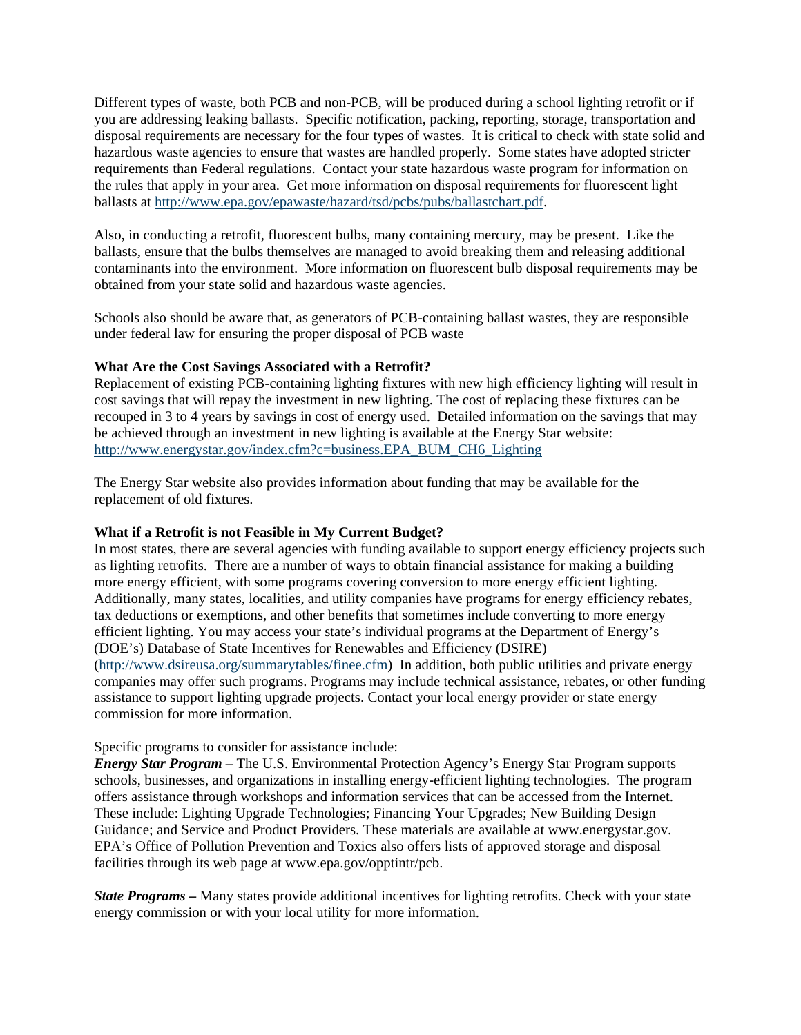Different types of waste, both PCB and non-PCB, will be produced during a school lighting retrofit or if you are addressing leaking ballasts. Specific notification, packing, reporting, storage, transportation and disposal requirements are necessary for the four types of wastes. It is critical to check with state solid and hazardous waste agencies to ensure that wastes are handled properly. Some states have adopted stricter requirements than Federal regulations. Contact your state hazardous waste program for information on the rules that apply in your area. Get more information on disposal requirements for fluorescent light ballasts at http://www.epa.gov/epawaste/hazard/tsd/pcbs/pubs/ballastchart.pdf.

Also, in conducting a retrofit, fluorescent bulbs, many containing mercury, may be present. Like the ballasts, ensure that the bulbs themselves are managed to avoid breaking them and releasing additional contaminants into the environment. More information on fluorescent bulb disposal requirements may be obtained from your state solid and hazardous waste agencies.

Schools also should be aware that, as generators of PCB-containing ballast wastes, they are responsible under federal law for ensuring the proper disposal of PCB waste

#### **What Are the Cost Savings Associated with a Retrofit?**

Replacement of existing PCB-containing lighting fixtures with new high efficiency lighting will result in cost savings that will repay the investment in new lighting. The cost of replacing these fixtures can be recouped in 3 to 4 years by savings in cost of energy used. Detailed information on the savings that may be achieved through an investment in new lighting is available at the Energy Star website: http://www.energystar.gov/index.cfm?c=business.EPA\_BUM\_CH6\_Lighting

The Energy Star website also provides information about funding that may be available for the replacement of old fixtures.

#### **What if a Retrofit is not Feasible in My Current Budget?**

In most states, there are several agencies with funding available to support energy efficiency projects such as lighting retrofits. There are a number of ways to obtain financial assistance for making a building more energy efficient, with some programs covering conversion to more energy efficient lighting. Additionally, many states, localities, and utility companies have programs for energy efficiency rebates, tax deductions or exemptions, and other benefits that sometimes include converting to more energy efficient lighting. You may access your state's individual programs at the Department of Energy's (DOE's) Database of State Incentives for Renewables and Efficiency (DSIRE) (http://www.dsireusa.org/summarytables/finee.cfm) In addition, both public utilities and private energy companies may offer such programs. Programs may include technical assistance, rebates, or other funding assistance to support lighting upgrade projects. Contact your local energy provider or state energy commission for more information.

Specific programs to consider for assistance include:

*Energy Star Program* **–** The U.S. Environmental Protection Agency's Energy Star Program supports schools, businesses, and organizations in installing energy-efficient lighting technologies. The program offers assistance through workshops and information services that can be accessed from the Internet. These include: Lighting Upgrade Technologies; Financing Your Upgrades; New Building Design Guidance; and Service and Product Providers. These materials are available at www.energystar.gov. EPA's Office of Pollution Prevention and Toxics also offers lists of approved storage and disposal facilities through its web page at www.epa.gov/opptintr/pcb.

*State Programs* **–** Many states provide additional incentives for lighting retrofits. Check with your state energy commission or with your local utility for more information.